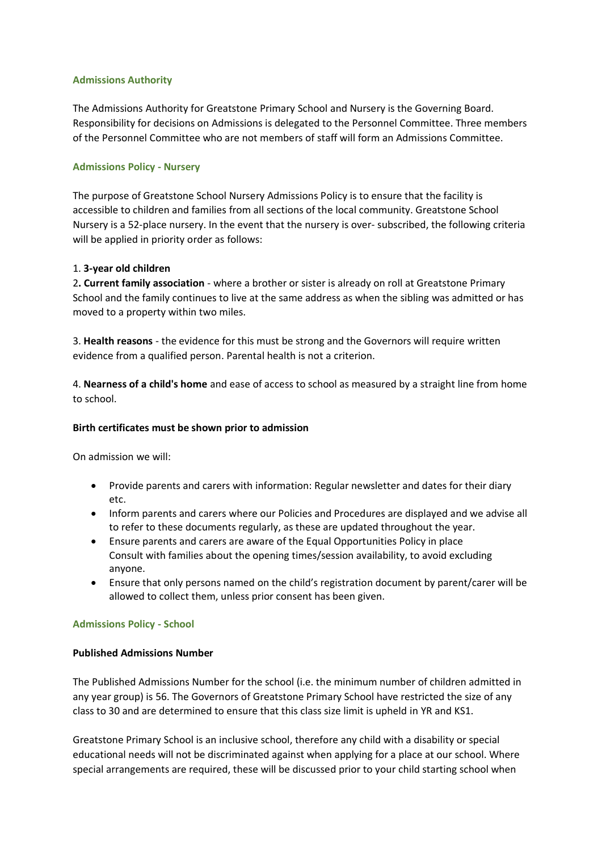### **Admissions Authority**

The Admissions Authority for Greatstone Primary School and Nursery is the Governing Board. Responsibility for decisions on Admissions is delegated to the Personnel Committee. Three members of the Personnel Committee who are not members of staff will form an Admissions Committee.

### **Admissions Policy - Nursery**

The purpose of Greatstone School Nursery Admissions Policy is to ensure that the facility is accessible to children and families from all sections of the local community. Greatstone School Nursery is a 52-place nursery. In the event that the nursery is over- subscribed, the following criteria will be applied in priority order as follows:

### 1. **3-year old children**

2**. Current family association** - where a brother or sister is already on roll at Greatstone Primary School and the family continues to live at the same address as when the sibling was admitted or has moved to a property within two miles.

3. **Health reasons** - the evidence for this must be strong and the Governors will require written evidence from a qualified person. Parental health is not a criterion.

4. **Nearness of a child's home** and ease of access to school as measured by a straight line from home to school.

#### **Birth certificates must be shown prior to admission**

On admission we will:

- Provide parents and carers with information: Regular newsletter and dates for their diary etc.
- Inform parents and carers where our Policies and Procedures are displayed and we advise all to refer to these documents regularly, as these are updated throughout the year.
- Ensure parents and carers are aware of the Equal Opportunities Policy in place Consult with families about the opening times/session availability, to avoid excluding anyone.
- Ensure that only persons named on the child's registration document by parent/carer will be allowed to collect them, unless prior consent has been given.

# **Admissions Policy - School**

#### **Published Admissions Number**

The Published Admissions Number for the school (i.e. the minimum number of children admitted in any year group) is 56. The Governors of Greatstone Primary School have restricted the size of any class to 30 and are determined to ensure that this class size limit is upheld in YR and KS1.

Greatstone Primary School is an inclusive school, therefore any child with a disability or special educational needs will not be discriminated against when applying for a place at our school. Where special arrangements are required, these will be discussed prior to your child starting school when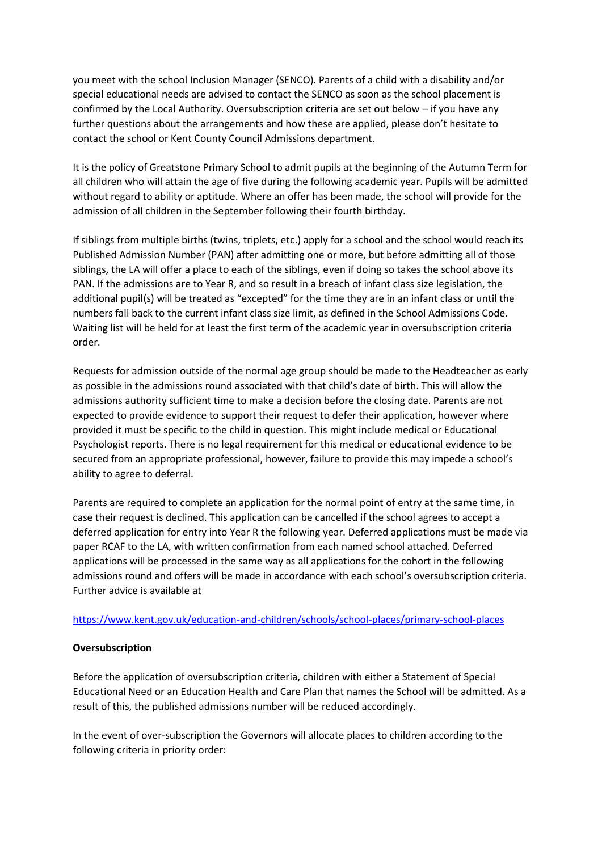you meet with the school Inclusion Manager (SENCO). Parents of a child with a disability and/or special educational needs are advised to contact the SENCO as soon as the school placement is confirmed by the Local Authority. Oversubscription criteria are set out below – if you have any further questions about the arrangements and how these are applied, please don't hesitate to contact the school or Kent County Council Admissions department.

It is the policy of Greatstone Primary School to admit pupils at the beginning of the Autumn Term for all children who will attain the age of five during the following academic year. Pupils will be admitted without regard to ability or aptitude. Where an offer has been made, the school will provide for the admission of all children in the September following their fourth birthday.

If siblings from multiple births (twins, triplets, etc.) apply for a school and the school would reach its Published Admission Number (PAN) after admitting one or more, but before admitting all of those siblings, the LA will offer a place to each of the siblings, even if doing so takes the school above its PAN. If the admissions are to Year R, and so result in a breach of infant class size legislation, the additional pupil(s) will be treated as "excepted" for the time they are in an infant class or until the numbers fall back to the current infant class size limit, as defined in the School Admissions Code. Waiting list will be held for at least the first term of the academic year in oversubscription criteria order.

Requests for admission outside of the normal age group should be made to the Headteacher as early as possible in the admissions round associated with that child's date of birth. This will allow the admissions authority sufficient time to make a decision before the closing date. Parents are not expected to provide evidence to support their request to defer their application, however where provided it must be specific to the child in question. This might include medical or Educational Psychologist reports. There is no legal requirement for this medical or educational evidence to be secured from an appropriate professional, however, failure to provide this may impede a school's ability to agree to deferral.

Parents are required to complete an application for the normal point of entry at the same time, in case their request is declined. This application can be cancelled if the school agrees to accept a deferred application for entry into Year R the following year. Deferred applications must be made via paper RCAF to the LA, with written confirmation from each named school attached. Deferred applications will be processed in the same way as all applications for the cohort in the following admissions round and offers will be made in accordance with each school's oversubscription criteria. Further advice is available at

#### <https://www.kent.gov.uk/education-and-children/schools/school-places/primary-school-places>

# **Oversubscription**

Before the application of oversubscription criteria, children with either a Statement of Special Educational Need or an Education Health and Care Plan that names the School will be admitted. As a result of this, the published admissions number will be reduced accordingly.

In the event of over-subscription the Governors will allocate places to children according to the following criteria in priority order: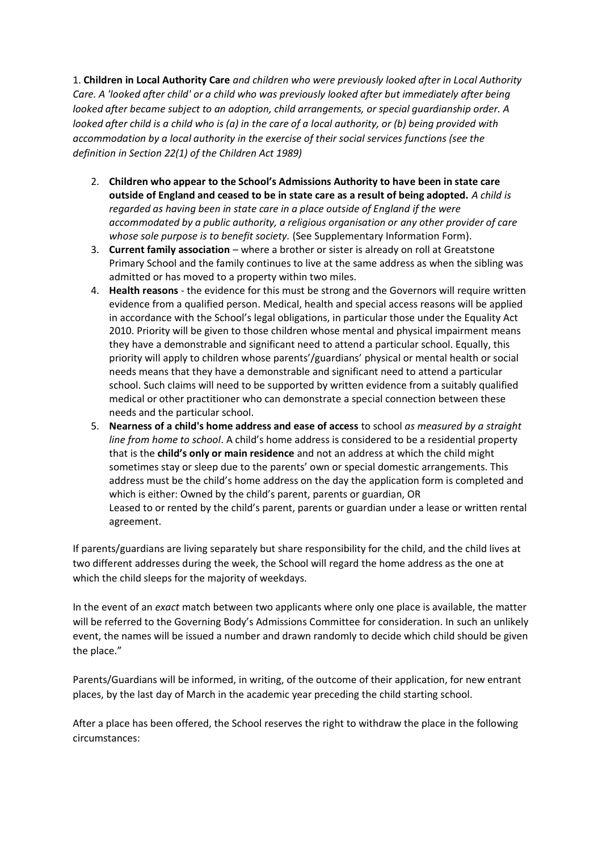1. **Children in Local Authority Care** *and children who were previously looked after in Local Authority Care. A 'looked after child' or a child who was previously looked after but immediately after being looked after became subject to an adoption, child arrangements, or special guardianship order. A looked after child is a child who is (a) in the care of a local authority, or (b) being provided with accommodation by a local authority in the exercise of their social services functions (see the definition in Section 22(1) of the Children Act 1989)* 

- 2. **Children who appear to the School's Admissions Authority to have been in state care outside of England and ceased to be in state care as a result of being adopted.** *A child is regarded as having been in state care in a place outside of England if the were accommodated by a public authority, a religious organisation or any other provider of care whose sole purpose is to benefit society.* (See Supplementary Information Form).
- 3. **Current family association** where a brother or sister is already on roll at Greatstone Primary School and the family continues to live at the same address as when the sibling was admitted or has moved to a property within two miles.
- 4. **Health reasons** the evidence for this must be strong and the Governors will require written evidence from a qualified person. Medical, health and special access reasons will be applied in accordance with the School's legal obligations, in particular those under the Equality Act 2010. Priority will be given to those children whose mental and physical impairment means they have a demonstrable and significant need to attend a particular school. Equally, this priority will apply to children whose parents'/guardians' physical or mental health or social needs means that they have a demonstrable and significant need to attend a particular school. Such claims will need to be supported by written evidence from a suitably qualified medical or other practitioner who can demonstrate a special connection between these needs and the particular school.
- 5. **Nearness of a child's home address and ease of access** to school *as measured by a straight line from home to school*. A child's home address is considered to be a residential property that is the **child's only or main residence** and not an address at which the child might sometimes stay or sleep due to the parents' own or special domestic arrangements. This address must be the child's home address on the day the application form is completed and which is either: Owned by the child's parent, parents or guardian, OR Leased to or rented by the child's parent, parents or guardian under a lease or written rental agreement.

If parents/guardians are living separately but share responsibility for the child, and the child lives at two different addresses during the week, the School will regard the home address as the one at which the child sleeps for the majority of weekdays.

In the event of an *exact* match between two applicants where only one place is available, the matter will be referred to the Governing Body's Admissions Committee for consideration. In such an unlikely event, the names will be issued a number and drawn randomly to decide which child should be given the place."

Parents/Guardians will be informed, in writing, of the outcome of their application, for new entrant places, by the last day of March in the academic year preceding the child starting school.

After a place has been offered, the School reserves the right to withdraw the place in the following circumstances: